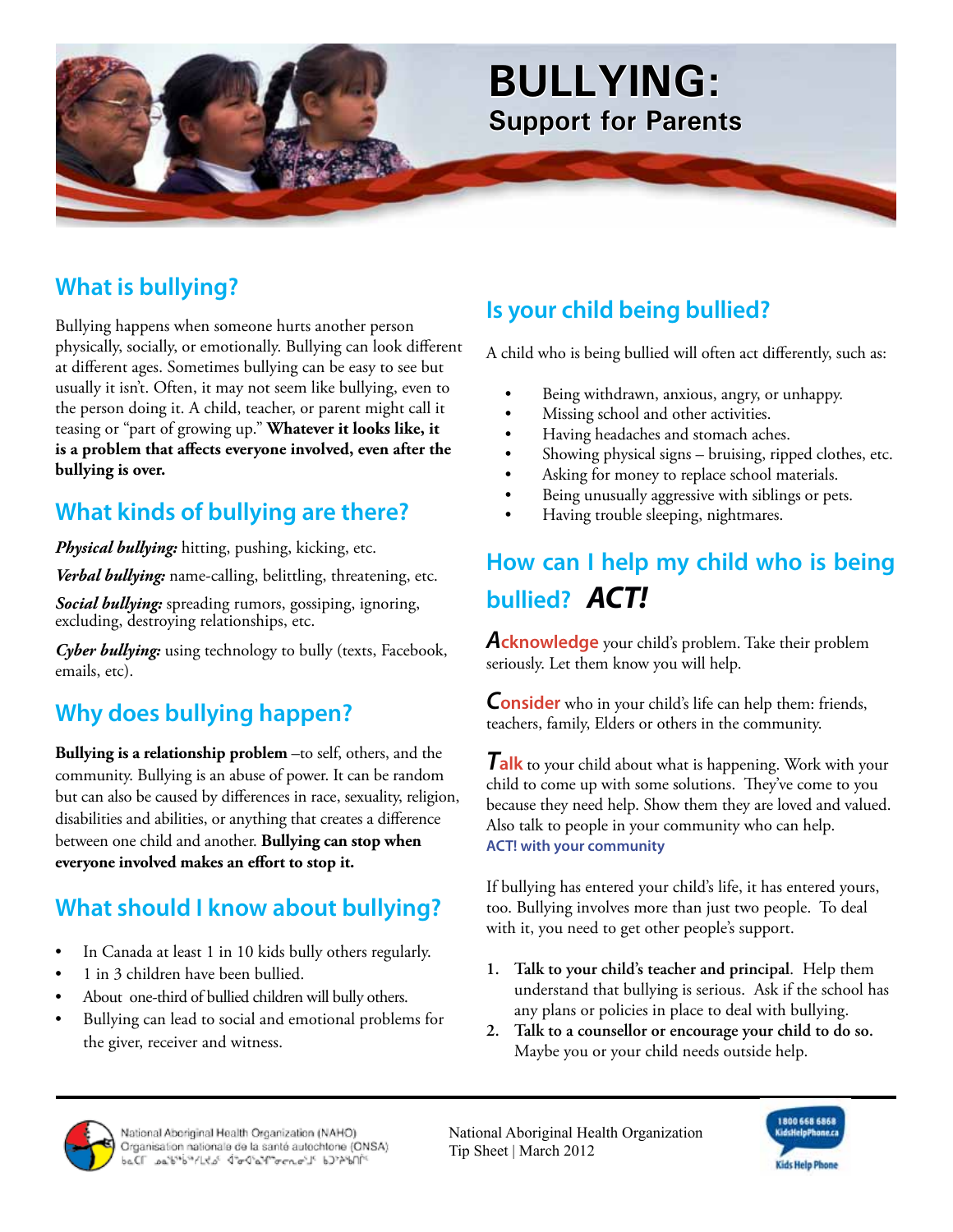

## **What is bullying?**

Bullying happens when someone hurts another person physically, socially, or emotionally. Bullying can look different at different ages. Sometimes bullying can be easy to see but usually it isn't. Often, it may not seem like bullying, even to the person doing it. A child, teacher, or parent might call it teasing or "part of growing up." **Whatever it looks like, it is a problem that affects everyone involved, even after the bullying is over.**

### **What kinds of bullying are there?**

*Physical bullying:* hitting, pushing, kicking, etc.

*Verbal bullying:* name-calling, belittling, threatening, etc.

*Social bullying:* spreading rumors, gossiping, ignoring, excluding, destroying relationships, etc.

*Cyber bullying:* using technology to bully (texts, Facebook, emails, etc).

### **Why does bullying happen?**

**Bullying is a relationship problem** –to self, others, and the community. Bullying is an abuse of power. It can be random but can also be caused by differences in race, sexuality, religion, disabilities and abilities, or anything that creates a difference between one child and another. **Bullying can stop when everyone involved makes an effort to stop it.**

### **What should I know about bullying?**

- In Canada at least 1 in 10 kids bully others regularly.
- 1 in 3 children have been bullied.
- About one-third of bullied children will bully others.
- Bullying can lead to social and emotional problems for the giver, receiver and witness.

### **Is your child being bullied?**

A child who is being bullied will often act differently, such as:

- Being withdrawn, anxious, angry, or unhappy.
- Missing school and other activities.
- Having headaches and stomach aches.
- Showing physical signs bruising, ripped clothes, etc.
- Asking for money to replace school materials.
- Being unusually aggressive with siblings or pets.
- Having trouble sleeping, nightmares.

# **How can I help my child who is being bullied?** *ACT!*

*A***cknowledge** your child's problem. Take their problem seriously. Let them know you will help.

*C***onsider** who in your child's life can help them: friends, teachers, family, Elders or others in the community.

*T***alk** to your child about what is happening. Work with your child to come up with some solutions. They've come to you because they need help. Show them they are loved and valued. Also talk to people in your community who can help. **ACT! with your community** 

If bullying has entered your child's life, it has entered yours, too. Bullying involves more than just two people. To deal with it, you need to get other people's support.

- **1. Talk to your child's teacher and principal**. Help them understand that bullying is serious. Ask if the school has any plans or policies in place to deal with bullying.
- **2. Talk to a counsellor or encourage your child to do so.**  Maybe you or your child needs outside help.



National Aboriginal Health Organization (NAHO) Organisation nationale de la santé autochtone (ONSA)<br>beCl ... belle ... all'interventionale de la santé autochtone (ONSA) National Aboriginal Health Organization Tip Sheet | March 2012